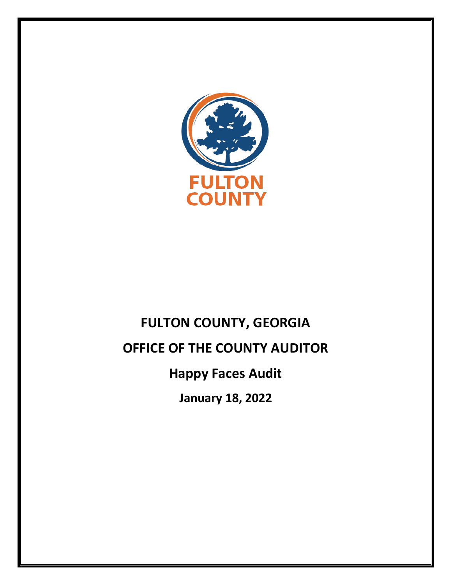

# **FULTON COUNTY, GEORGIA OFFICE OF THE COUNTY AUDITOR Happy Faces Audit January 18, 2022**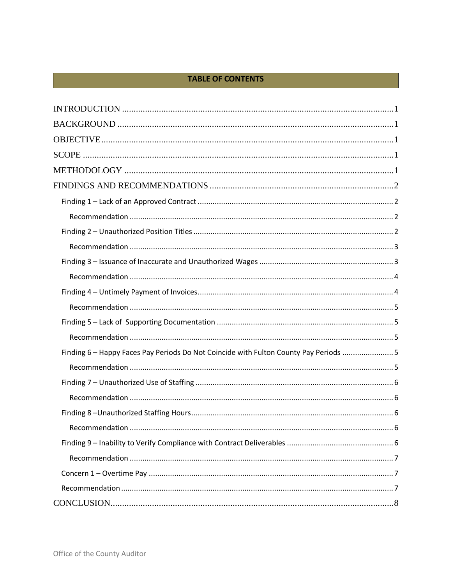# **TABLE OF CONTENTS**

| Finding 6 - Happy Faces Pay Periods Do Not Coincide with Fulton County Pay Periods  5 |
|---------------------------------------------------------------------------------------|
|                                                                                       |
|                                                                                       |
|                                                                                       |
|                                                                                       |
|                                                                                       |
|                                                                                       |
|                                                                                       |
|                                                                                       |
|                                                                                       |
|                                                                                       |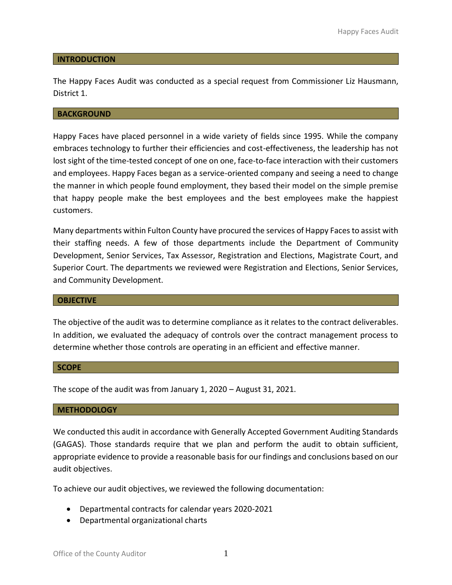#### <span id="page-2-0"></span>**INTRODUCTION**

The Happy Faces Audit was conducted as a special request from Commissioner Liz Hausmann, District 1.

#### <span id="page-2-1"></span>**BACKGROUND**

Happy Faces have placed personnel in a wide variety of fields since 1995. While the company embraces technology to further their efficiencies and cost-effectiveness, the leadership has not lost sight of the time-tested concept of one on one, face-to-face interaction with their customers and employees. Happy Faces began as a service-oriented company and seeing a need to change the manner in which people found employment, they based their model on the simple premise that happy people make the best employees and the best employees make the happiest customers.

Many departments within Fulton County have procured the services of Happy Faces to assist with their staffing needs. A few of those departments include the Department of Community Development, Senior Services, Tax Assessor, Registration and Elections, Magistrate Court, and Superior Court. The departments we reviewed were Registration and Elections, Senior Services, and Community Development.

#### <span id="page-2-2"></span>**OBJECTIVE**

The objective of the audit was to determine compliance as it relates to the contract deliverables. In addition, we evaluated the adequacy of controls over the contract management process to determine whether those controls are operating in an efficient and effective manner.

#### <span id="page-2-3"></span>**SCOPE**

The scope of the audit was from January 1, 2020 – August 31, 2021.

#### <span id="page-2-4"></span>**METHODOLOGY**

We conducted this audit in accordance with Generally Accepted Government Auditing Standards (GAGAS). Those standards require that we plan and perform the audit to obtain sufficient, appropriate evidence to provide a reasonable basis for our findings and conclusions based on our audit objectives.

To achieve our audit objectives, we reviewed the following documentation:

- Departmental contracts for calendar years 2020-2021
- Departmental organizational charts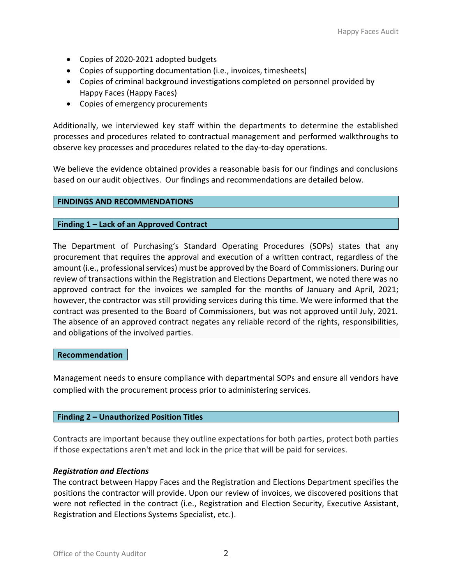- Copies of 2020-2021 adopted budgets
- Copies of supporting documentation (i.e., invoices, timesheets)
- Copies of criminal background investigations completed on personnel provided by Happy Faces (Happy Faces)
- Copies of emergency procurements

Additionally, we interviewed key staff within the departments to determine the established processes and procedures related to contractual management and performed walkthroughs to observe key processes and procedures related to the day-to-day operations.

We believe the evidence obtained provides a reasonable basis for our findings and conclusions based on our audit objectives. Our findings and recommendations are detailed below.

# <span id="page-3-0"></span>**FINDINGS AND RECOMMENDATIONS**

# <span id="page-3-1"></span>**Finding 1 – Lack of an Approved Contract**

The Department of Purchasing's Standard Operating Procedures (SOPs) states that any procurement that requires the approval and execution of a written contract, regardless of the amount (i.e., professional services) must be approved by the Board of Commissioners. During our review of transactions within the Registration and Elections Department, we noted there was no approved contract for the invoices we sampled for the months of January and April, 2021; however, the contractor was still providing services during this time. We were informed that the contract was presented to the Board of Commissioners, but was not approved until July, 2021. The absence of an approved contract negates any reliable record of the rights, responsibilities, and obligations of the involved parties.

#### <span id="page-3-2"></span>**Recommendation**

Management needs to ensure compliance with departmental SOPs and ensure all vendors have complied with the procurement process prior to administering services.

# <span id="page-3-3"></span>**Finding 2 – Unauthorized Position Titles**

Contracts are important because they outline expectations for both parties, protect both parties if those expectations aren't met and lock in the price that will be paid for services.

# *Registration and Elections*

The contract between Happy Faces and the Registration and Elections Department specifies the positions the contractor will provide. Upon our review of invoices, we discovered positions that were not reflected in the contract (i.e., Registration and Election Security, Executive Assistant, Registration and Elections Systems Specialist, etc.).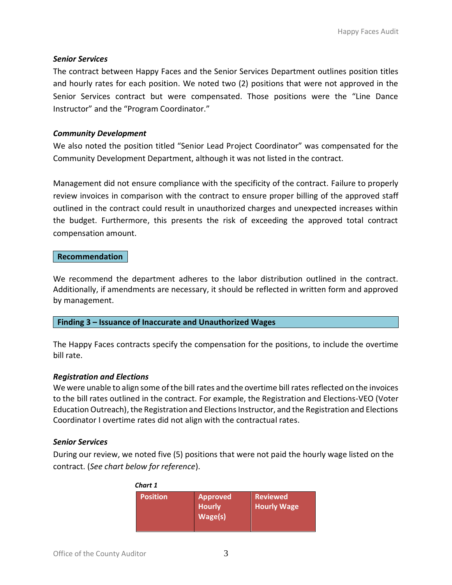# *Senior Services*

The contract between Happy Faces and the Senior Services Department outlines position titles and hourly rates for each position. We noted two (2) positions that were not approved in the Senior Services contract but were compensated. Those positions were the "Line Dance Instructor" and the "Program Coordinator."

# *Community Development*

We also noted the position titled "Senior Lead Project Coordinator" was compensated for the Community Development Department, although it was not listed in the contract.

Management did not ensure compliance with the specificity of the contract. Failure to properly review invoices in comparison with the contract to ensure proper billing of the approved staff outlined in the contract could result in unauthorized charges and unexpected increases within the budget. Furthermore, this presents the risk of exceeding the approved total contract compensation amount.

#### <span id="page-4-0"></span>**Recommendation**

We recommend the department adheres to the labor distribution outlined in the contract. Additionally, if amendments are necessary, it should be reflected in written form and approved by management.

#### <span id="page-4-1"></span>**Finding 3 – Issuance of Inaccurate and Unauthorized Wages**

The Happy Faces contracts specify the compensation for the positions, to include the overtime bill rate.

#### *Registration and Elections*

We were unable to align some of the bill rates and the overtime bill rates reflected on the invoices to the bill rates outlined in the contract. For example, the Registration and Elections-VEO (Voter Education Outreach), the Registration and Elections Instructor, and the Registration and Elections Coordinator I overtime rates did not align with the contractual rates.

#### *Senior Services*

During our review, we noted five (5) positions that were not paid the hourly wage listed on the contract. (*See chart below for reference*).

| <b>Position</b> |
|-----------------|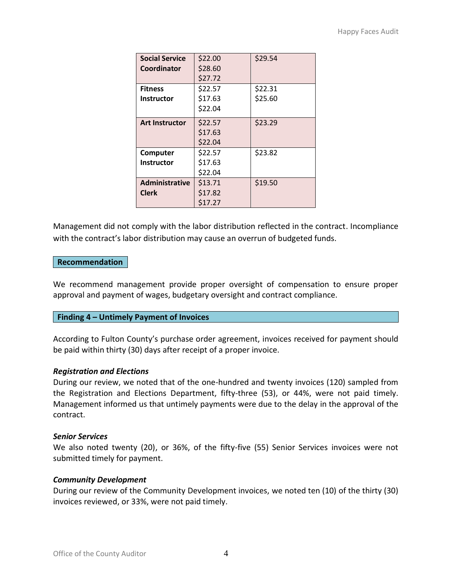| <b>Social Service</b><br>Coordinator | \$22.00<br>\$28.60<br>\$27.72 | \$29.54            |
|--------------------------------------|-------------------------------|--------------------|
| <b>Fitness</b><br><b>Instructor</b>  | \$22.57<br>\$17.63<br>\$22.04 | \$22.31<br>\$25.60 |
| <b>Art Instructor</b>                | \$22.57<br>\$17.63<br>\$22.04 | \$23.29            |
| Computer<br><b>Instructor</b>        | \$22.57<br>\$17.63<br>\$22.04 | \$23.82            |
| <b>Administrative</b><br>Clerk       | \$13.71<br>\$17.82<br>\$17.27 | \$19.50            |

Management did not comply with the labor distribution reflected in the contract. Incompliance with the contract's labor distribution may cause an overrun of budgeted funds.

# <span id="page-5-0"></span>**Recommendation**

We recommend management provide proper oversight of compensation to ensure proper approval and payment of wages, budgetary oversight and contract compliance.

# <span id="page-5-1"></span>**Finding 4 – Untimely Payment of Invoices**

According to Fulton County's purchase order agreement, invoices received for payment should be paid within thirty (30) days after receipt of a proper invoice.

#### *Registration and Elections*

During our review, we noted that of the one-hundred and twenty invoices (120) sampled from the Registration and Elections Department, fifty-three (53), or 44%, were not paid timely. Management informed us that untimely payments were due to the delay in the approval of the contract.

#### *Senior Services*

We also noted twenty (20), or 36%, of the fifty-five (55) Senior Services invoices were not submitted timely for payment.

#### *Community Development*

During our review of the Community Development invoices, we noted ten (10) of the thirty (30) invoices reviewed, or 33%, were not paid timely.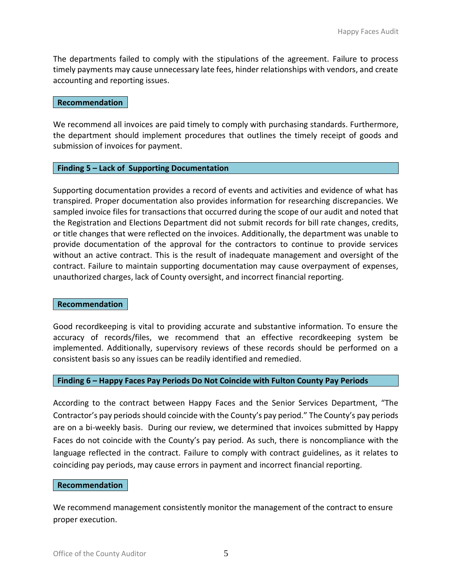The departments failed to comply with the stipulations of the agreement. Failure to process timely payments may cause unnecessary late fees, hinder relationships with vendors, and create accounting and reporting issues.

#### <span id="page-6-0"></span>**Recommendation**

We recommend all invoices are paid timely to comply with purchasing standards. Furthermore, the department should implement procedures that outlines the timely receipt of goods and submission of invoices for payment.

#### <span id="page-6-1"></span>**Finding 5 – Lack of Supporting Documentation**

Supporting documentation provides a record of events and activities and evidence of what has transpired. Proper documentation also provides information for researching discrepancies. We sampled invoice files for transactions that occurred during the scope of our audit and noted that the Registration and Elections Department did not submit records for bill rate changes, credits, or title changes that were reflected on the invoices. Additionally, the department was unable to provide documentation of the approval for the contractors to continue to provide services without an active contract. This is the result of inadequate management and oversight of the contract. Failure to maintain supporting documentation may cause overpayment of expenses, unauthorized charges, lack of County oversight, and incorrect financial reporting.

#### <span id="page-6-2"></span>**Recommendation**

Good recordkeeping is vital to providing accurate and substantive information. To ensure the accuracy of records/files, we recommend that an effective recordkeeping system be implemented. Additionally, supervisory reviews of these records should be performed on a consistent basis so any issues can be readily identified and remedied.

#### <span id="page-6-3"></span>**Finding 6 – Happy Faces Pay Periods Do Not Coincide with Fulton County Pay Periods**

According to the contract between Happy Faces and the Senior Services Department, "The Contractor's pay periods should coincide with the County's pay period." The County's pay periods are on a bi-weekly basis. During our review, we determined that invoices submitted by Happy Faces do not coincide with the County's pay period. As such, there is noncompliance with the language reflected in the contract. Failure to comply with contract guidelines, as it relates to coinciding pay periods, may cause errors in payment and incorrect financial reporting.

#### <span id="page-6-4"></span>**Recommendation**

We recommend management consistently monitor the management of the contract to ensure proper execution.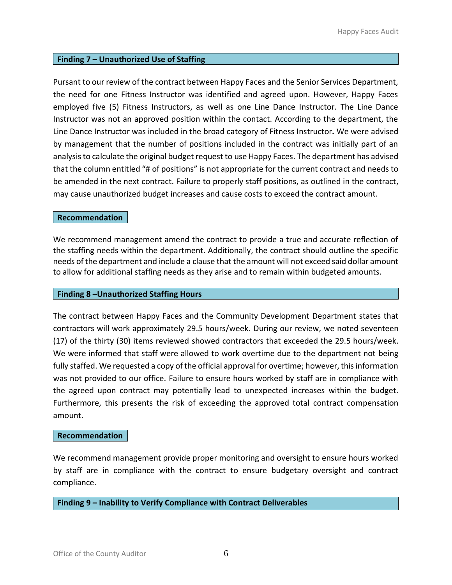# <span id="page-7-0"></span>**Finding 7 – Unauthorized Use of Staffing**

Pursant to our review of the contract between Happy Faces and the Senior Services Department, the need for one Fitness Instructor was identified and agreed upon. However, Happy Faces employed five (5) Fitness Instructors, as well as one Line Dance Instructor. The Line Dance Instructor was not an approved position within the contact. According to the department, the Line Dance Instructor was included in the broad category of Fitness Instructor**.** We were advised by management that the number of positions included in the contract was initially part of an analysis to calculate the original budget request to use Happy Faces. The department has advised that the column entitled "# of positions" is not appropriate for the current contract and needs to be amended in the next contract. Failure to properly staff positions, as outlined in the contract, may cause unauthorized budget increases and cause costs to exceed the contract amount.

#### <span id="page-7-1"></span>**Recommendation**

We recommend management amend the contract to provide a true and accurate reflection of the staffing needs within the department. Additionally, the contract should outline the specific needs of the department and include a clause that the amount will not exceed said dollar amount to allow for additional staffing needs as they arise and to remain within budgeted amounts.

#### <span id="page-7-2"></span>**Finding 8 –Unauthorized Staffing Hours**

The contract between Happy Faces and the Community Development Department states that contractors will work approximately 29.5 hours/week. During our review, we noted seventeen (17) of the thirty (30) items reviewed showed contractors that exceeded the 29.5 hours/week. We were informed that staff were allowed to work overtime due to the department not being fully staffed. We requested a copy of the official approval for overtime; however, this information was not provided to our office. Failure to ensure hours worked by staff are in compliance with the agreed upon contract may potentially lead to unexpected increases within the budget. Furthermore, this presents the risk of exceeding the approved total contract compensation amount.

#### <span id="page-7-3"></span>**Recommendation**

We recommend management provide proper monitoring and oversight to ensure hours worked by staff are in compliance with the contract to ensure budgetary oversight and contract compliance.

#### <span id="page-7-4"></span>**Finding 9 – Inability to Verify Compliance with Contract Deliverables**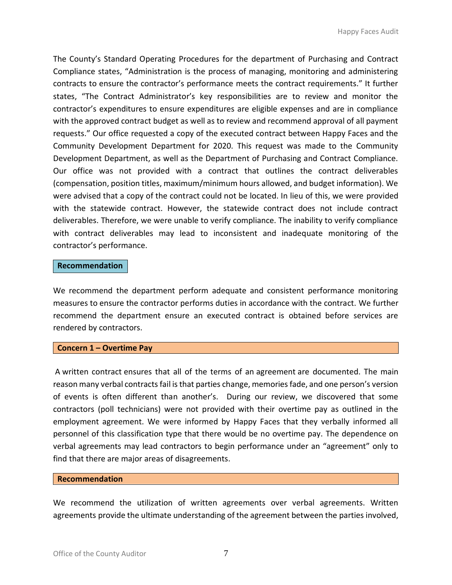The County's Standard Operating Procedures for the department of Purchasing and Contract Compliance states, "Administration is the process of managing, monitoring and administering contracts to ensure the contractor's performance meets the contract requirements." It further states, "The Contract Administrator's key responsibilities are to review and monitor the contractor's expenditures to ensure expenditures are eligible expenses and are in compliance with the approved contract budget as well as to review and recommend approval of all payment requests." Our office requested a copy of the executed contract between Happy Faces and the Community Development Department for 2020. This request was made to the Community Development Department, as well as the Department of Purchasing and Contract Compliance. Our office was not provided with a contract that outlines the contract deliverables (compensation, position titles, maximum/minimum hours allowed, and budget information). We were advised that a copy of the contract could not be located. In lieu of this, we were provided with the statewide contract. However, the statewide contract does not include contract deliverables. Therefore, we were unable to verify compliance. The inability to verify compliance with contract deliverables may lead to inconsistent and inadequate monitoring of the contractor's performance.

#### <span id="page-8-0"></span>**Recommendation**

We recommend the department perform adequate and consistent performance monitoring measures to ensure the contractor performs duties in accordance with the contract. We further recommend the department ensure an executed contract is obtained before services are rendered by contractors.

# <span id="page-8-1"></span>**Concern 1 – Overtime Pay**

A written contract ensures that all of the terms of an agreement are documented. The main reason many verbal contracts fail is that parties change, memories fade, and one person's version of events is often different than another's. During our review, we discovered that some contractors (poll technicians) were not provided with their overtime pay as outlined in the employment agreement. We were informed by Happy Faces that they verbally informed all personnel of this classification type that there would be no overtime pay. The dependence on verbal agreements may lead contractors to begin performance under an "agreement" only to find that there are major areas of disagreements.

#### <span id="page-8-2"></span>**Recommendation**

We recommend the utilization of written agreements over verbal agreements. Written agreements provide the ultimate understanding of the agreement between the parties involved,